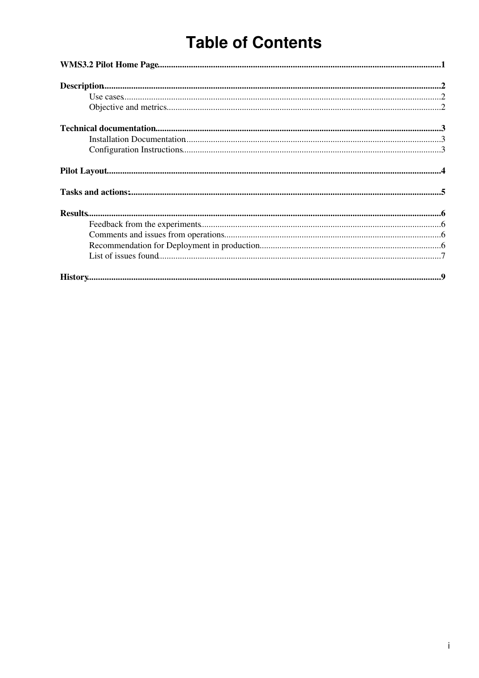# **Table of Contents**

| $\label{eq:1} \textbf{Description} \textbf{a} \textbf{.} \textbf{} \textbf{} \textbf{} \textbf{} \textbf{} \textbf{} \textbf{} \textbf{} \textbf{} \textbf{} \textbf{} \textbf{} \textbf{} \textbf{} \textbf{} \textbf{} \textbf{} \textbf{} \textbf{} \textbf{} \textbf{} \textbf{} \textbf{} \textbf{} \textbf{} \textbf{} \textbf{} \textbf{} \textbf{} \textbf{} \textbf{} \textbf{} \textbf$ |  |
|---------------------------------------------------------------------------------------------------------------------------------------------------------------------------------------------------------------------------------------------------------------------------------------------------------------------------------------------------------------------------------------------------|--|
|                                                                                                                                                                                                                                                                                                                                                                                                   |  |
|                                                                                                                                                                                                                                                                                                                                                                                                   |  |
|                                                                                                                                                                                                                                                                                                                                                                                                   |  |
|                                                                                                                                                                                                                                                                                                                                                                                                   |  |
|                                                                                                                                                                                                                                                                                                                                                                                                   |  |
|                                                                                                                                                                                                                                                                                                                                                                                                   |  |
|                                                                                                                                                                                                                                                                                                                                                                                                   |  |
|                                                                                                                                                                                                                                                                                                                                                                                                   |  |
|                                                                                                                                                                                                                                                                                                                                                                                                   |  |
|                                                                                                                                                                                                                                                                                                                                                                                                   |  |
|                                                                                                                                                                                                                                                                                                                                                                                                   |  |
|                                                                                                                                                                                                                                                                                                                                                                                                   |  |
|                                                                                                                                                                                                                                                                                                                                                                                                   |  |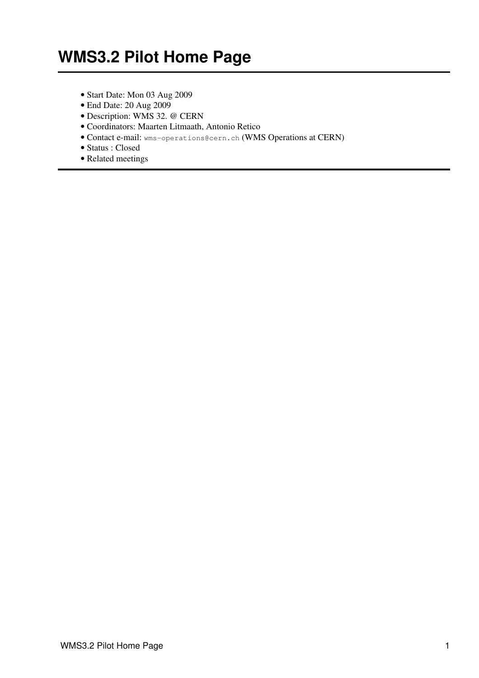- <span id="page-1-0"></span>• Start Date: Mon 03 Aug 2009
- End Date: 20 Aug 2009
- Description: WMS 32. @ CERN
- Coordinators: Maarten Litmaath, Antonio Retico
- Contact e-mail: wms-operations@cern.ch (WMS Operations at CERN)
- Status : Closed
- [Related meetings](https://twiki.cern.ch/twiki/bin/view/LCG/PPIslandKickOff)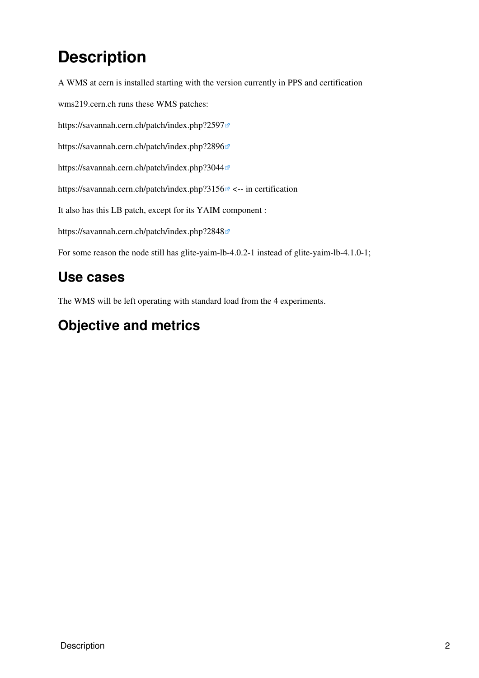# <span id="page-2-0"></span>**Description**

A WMS at cern is installed starting with the version currently in PPS and certification

wms219.cern.ch runs these WMS patches:

<https://savannah.cern.ch/patch/index.php?2597>@

<https://savannah.cern.ch/patch/index.php?2896>

<https://savannah.cern.ch/patch/index.php?3044>

<https://savannah.cern.ch/patch/index.php?3156> <-- in certification

It also has this LB patch, except for its YAIM component :

<https://savannah.cern.ch/patch/index.php?2848>

For some reason the node still has glite-yaim-lb-4.0.2-1 instead of glite-yaim-lb-4.1.0-1;

### <span id="page-2-1"></span>**Use cases**

The WMS will be left operating with standard load from the 4 experiments.

### <span id="page-2-2"></span>**Objective and metrics**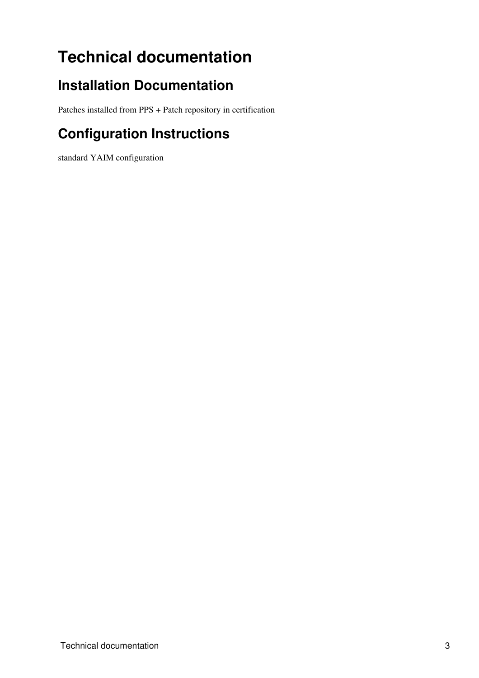# <span id="page-3-0"></span>**Technical documentation**

### <span id="page-3-1"></span>**Installation Documentation**

Patches installed from PPS + Patch repository in certification

## <span id="page-3-2"></span>**Configuration Instructions**

standard YAIM configuration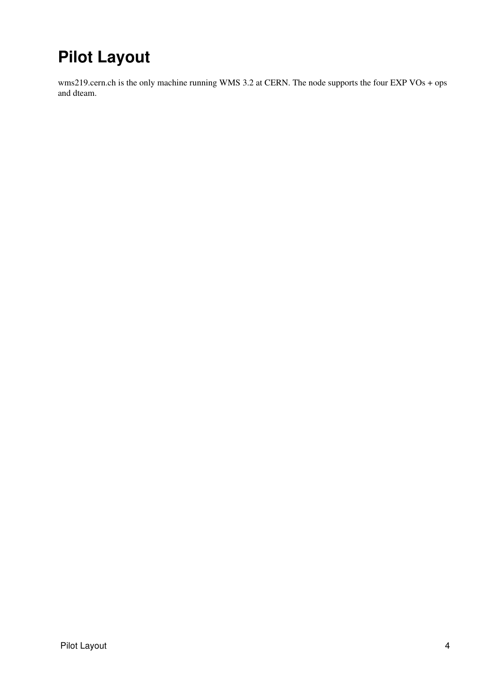# <span id="page-4-0"></span>**Pilot Layout**

wms219.cern.ch is the only machine running WMS 3.2 at CERN. The node supports the four EXP VOs + ops and dteam.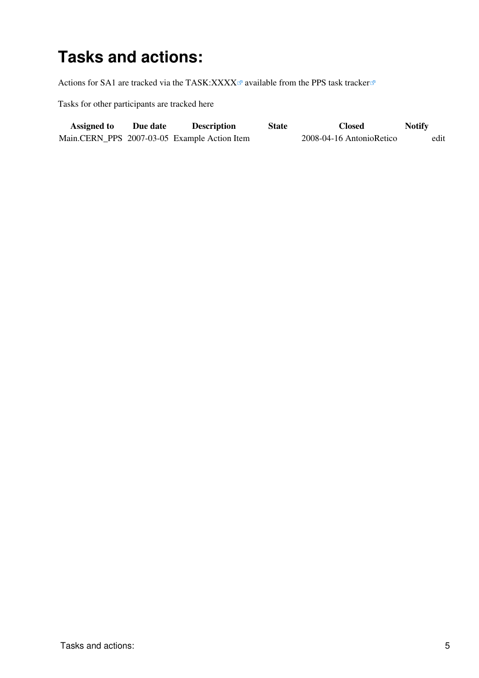## <span id="page-5-0"></span>**Tasks and actions:**

Actions for SA1 are tracked via the TASK:XXXX $\alpha$  available from the [PPS task tracker](http://www.cern.ch/pps/index.php?dir=./ActivityManagement/SA1DeploymentTaskTracking/&)  $\alpha$ 

Tasks for other participants are tracked here

| <b>Assigned to</b> | Due date | <b>Description</b>                           | State | <b>Closed</b>            | <b>Notify</b> |      |
|--------------------|----------|----------------------------------------------|-------|--------------------------|---------------|------|
|                    |          | Main.CERN_PPS 2007-03-05 Example Action Item |       | 2008-04-16 AntonioRetico |               | edit |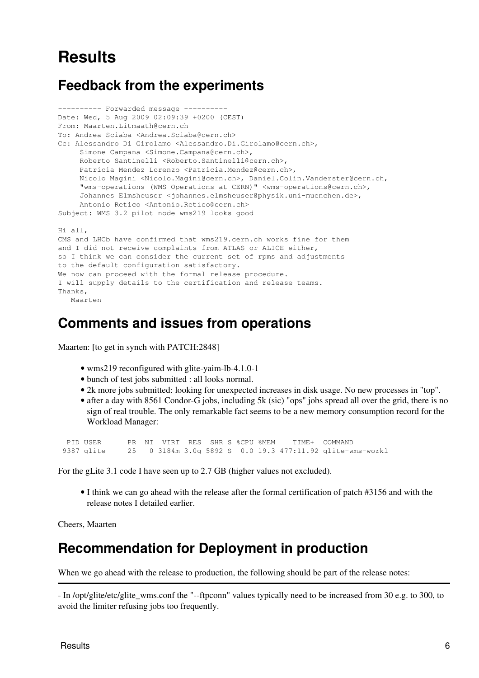## <span id="page-6-0"></span>**Results**

#### <span id="page-6-1"></span>**Feedback from the experiments**

```
---------- Forwarded message ----------
Date: Wed, 5 Aug 2009 02:09:39 +0200 (CEST)
From: Maarten.Litmaath@cern.ch
To: Andrea Sciaba <Andrea.Sciaba@cern.ch>
Cc: Alessandro Di Girolamo <Alessandro.Di.Girolamo@cern.ch>,
     Simone Campana <Simone.Campana@cern.ch>,
     Roberto Santinelli <Roberto.Santinelli@cern.ch>,
     Patricia Mendez Lorenzo <Patricia.Mendez@cern.ch>,
      Nicolo Magini <Nicolo.Magini@cern.ch>, Daniel.Colin.Vanderster@cern.ch,
      "wms-operations (WMS Operations at CERN)" <wms-operations@cern.ch>,
      Johannes Elmsheuser <johannes.elmsheuser@physik.uni-muenchen.de>,
      Antonio Retico <Antonio.Retico@cern.ch>
Subject: WMS 3.2 pilot node wms219 looks good
Hi all,
CMS and LHCb have confirmed that wms219.cern.ch works fine for them
and I did not receive complaints from ATLAS or ALICE either,
so I think we can consider the current set of rpms and adjustments
to the default configuration satisfactory.
We now can proceed with the formal release procedure.
I will supply details to the certification and release teams.
Thanks,
```

```
 Maarten
```
#### <span id="page-6-2"></span>**Comments and issues from operations**

Maarten: [to get in synch with PATCH:2848]

- wms219 reconfigured with glite-yaim-lb-4.1.0-1
- bunch of test jobs submitted : all looks normal.
- 2k more jobs submitted: looking for unexpected increases in disk usage. No new processes in "top".
- after a day with 8561 Condor-G jobs, including 5k (sic) "ops" jobs spread all over the grid, there is no sign of real trouble. The only remarkable fact seems to be a new memory consumption record for the Workload Manager:

| PID USER   |  | PR NI VIRT RES SHR S %CPU %MEM |  |  | TIME+ COMMAND |                                                           |
|------------|--|--------------------------------|--|--|---------------|-----------------------------------------------------------|
| 9387 glite |  |                                |  |  |               | 25 0 3184m 3.0g 5892 S 0.0 19.3 477:11.92 glite-wms-workl |

For the gLite 3.1 code I have seen up to 2.7 GB (higher values not excluded).

• I think we can go ahead with the release after the formal certification of patch #3156 and with the release notes I detailed earlier.

Cheers, Maarten

#### <span id="page-6-3"></span>**Recommendation for Deployment in production**

When we go ahead with the release to production, the following should be part of the release notes:

- In /opt/glite/etc/glite\_wms.conf the "--ftpconn" values typically need to be increased from 30 e.g. to 300, to avoid the limiter refusing jobs too frequently.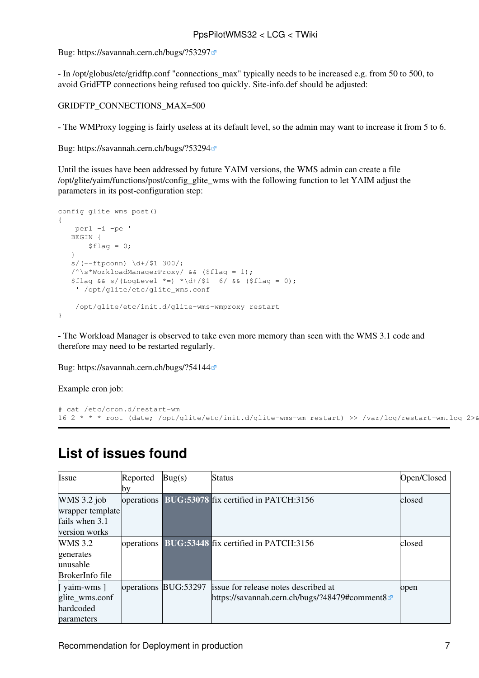#### PpsPilotWMS32 < LCG < TWiki

Bug:<https://savannah.cern.ch/bugs/?53297>

- In /opt/globus/etc/gridftp.conf "connections\_max" typically needs to be increased e.g. from 50 to 500, to avoid GridFTP connections being refused too quickly. Site-info.def should be adjusted:

GRIDFTP\_CONNECTIONS\_MAX=500

- The WMProxy logging is fairly useless at its default level, so the admin may want to increase it from 5 to 6.

Bug:<https://savannah.cern.ch/bugs/?53294>

Until the issues have been addressed by future YAIM versions, the WMS admin can create a file /opt/glite/yaim/functions/post/config\_glite\_wms with the following function to let YAIM adjust the parameters in its post-configuration step:

```
config_glite_wms_post()
{
    perl -i -pe '
    BEGIN {
      $flag = 0;\lambdas/(-ftpconn) \d+/$1 300/;
    /^\s*WorkloadManagerProxy/ && ($flag = 1);
   $flag & S/(LogLevel *=) * \d+ / $1 6/ & ($flag = 0); ' /opt/glite/etc/glite_wms.conf
     /opt/glite/etc/init.d/glite-wms-wmproxy restart
}
```
- The Workload Manager is observed to take even more memory than seen with the WMS 3.1 code and therefore may need to be restarted regularly.

Bug:<https://savannah.cern.ch/bugs/?54144>

Example cron job:

```
# cat /etc/cron.d/restart-wm
16 2 * * * root (date; /opt/glite/etc/init.d/glite-wms-wm restart) >> /var/log/restart-wm.log 2>&1
```

| Issue                                                                | Reported   | $\text{Bug}(s)$      | Status                                                                                 | Open/Closed |
|----------------------------------------------------------------------|------------|----------------------|----------------------------------------------------------------------------------------|-------------|
|                                                                      | ЮV         |                      |                                                                                        |             |
| WMS $3.2$ job<br>wrapper template<br>fails when 3.1<br>version works |            |                      | operations BUG:53078 fix certified in PATCH:3156                                       | closed      |
| <b>WMS</b> 3.2<br>generates<br>unusable<br><b>BrokerInfo</b> file    | operations |                      | BUG:53448 fix certified in PATCH:3156                                                  | closed      |
| [ yaim-wms ]<br>glite_wms.conf<br>hardcoded<br>parameters            |            | operations BUG:53297 | issue for release notes described at<br>https://savannah.cern.ch/bugs/?48479#comment8@ | open        |

#### <span id="page-7-0"></span>**List of issues found**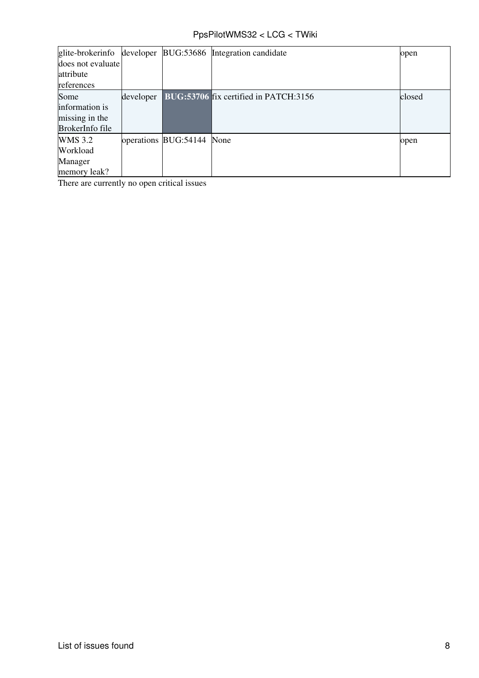#### PpsPilotWMS32 < LCG < TWiki

| glite-brokerinfo  | developer |                           | BUG:53686 Integration candidate       | open   |
|-------------------|-----------|---------------------------|---------------------------------------|--------|
| does not evaluate |           |                           |                                       |        |
| attribute         |           |                           |                                       |        |
| references        |           |                           |                                       |        |
| Some              | developer |                           | BUG:53706 fix certified in PATCH:3156 | closed |
| information is    |           |                           |                                       |        |
| missing in the    |           |                           |                                       |        |
| BrokerInfo file   |           |                           |                                       |        |
| <b>WMS</b> 3.2    |           | operations BUG:54144 None |                                       | open   |
| Workload          |           |                           |                                       |        |
| Manager           |           |                           |                                       |        |
| memory leak?      |           |                           |                                       |        |

There are currently no open critical issues